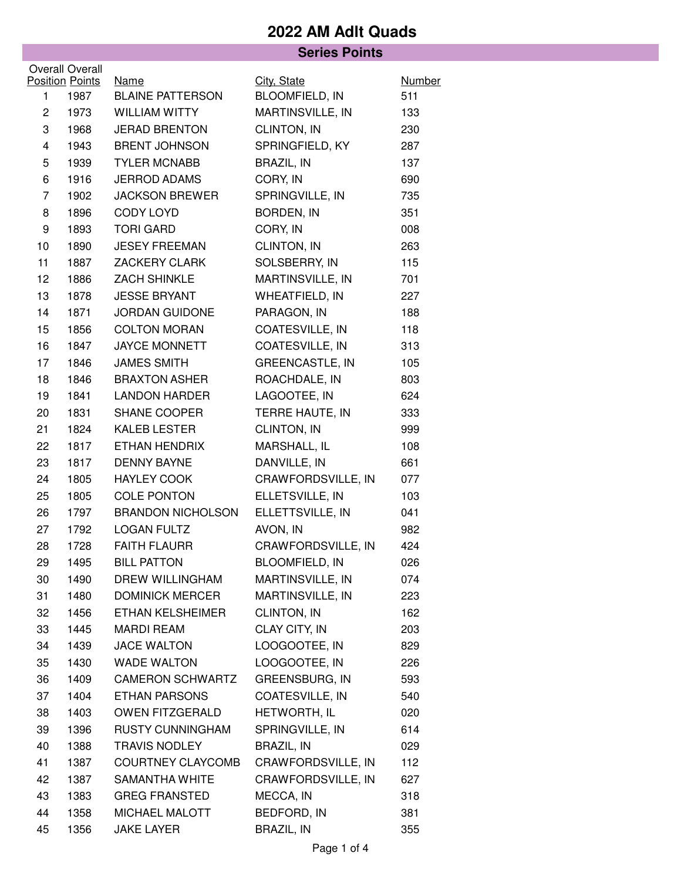|                |                                |                                        | <b>Series Points</b>                 |                      |
|----------------|--------------------------------|----------------------------------------|--------------------------------------|----------------------|
|                | Overall Overall                |                                        |                                      |                      |
| 1              | <b>Position Points</b><br>1987 | <b>Name</b><br><b>BLAINE PATTERSON</b> | City, State<br><b>BLOOMFIELD, IN</b> | <b>Number</b><br>511 |
| $\overline{c}$ | 1973                           | <b>WILLIAM WITTY</b>                   | MARTINSVILLE, IN                     | 133                  |
| 3              | 1968                           | <b>JERAD BRENTON</b>                   | CLINTON, IN                          | 230                  |
| $\overline{4}$ | 1943                           | <b>BRENT JOHNSON</b>                   | SPRINGFIELD, KY                      | 287                  |
| 5              | 1939                           | <b>TYLER MCNABB</b>                    | BRAZIL, IN                           | 137                  |
| 6              | 1916                           | <b>JERROD ADAMS</b>                    | CORY, IN                             | 690                  |
| $\overline{7}$ | 1902                           | <b>JACKSON BREWER</b>                  | SPRINGVILLE, IN                      | 735                  |
| 8              | 1896                           | CODY LOYD                              | BORDEN, IN                           | 351                  |
| 9              | 1893                           | <b>TORI GARD</b>                       | CORY, IN                             | 008                  |
| 10             | 1890                           | <b>JESEY FREEMAN</b>                   | CLINTON, IN                          | 263                  |
| 11             | 1887                           | ZACKERY CLARK                          | SOLSBERRY, IN                        | 115                  |
| 12             | 1886                           | <b>ZACH SHINKLE</b>                    | MARTINSVILLE, IN                     | 701                  |
| 13             | 1878                           | <b>JESSE BRYANT</b>                    | WHEATFIELD, IN                       | 227                  |
| 14             | 1871                           | <b>JORDAN GUIDONE</b>                  | PARAGON, IN                          | 188                  |
| 15             | 1856                           | <b>COLTON MORAN</b>                    | COATESVILLE, IN                      | 118                  |
| 16             | 1847                           | <b>JAYCE MONNETT</b>                   | COATESVILLE, IN                      | 313                  |
| 17             | 1846                           | <b>JAMES SMITH</b>                     | <b>GREENCASTLE, IN</b>               | 105                  |
| 18             | 1846                           | <b>BRAXTON ASHER</b>                   | ROACHDALE, IN                        | 803                  |
| 19             | 1841                           | <b>LANDON HARDER</b>                   | LAGOOTEE, IN                         | 624                  |
| 20             | 1831                           | SHANE COOPER                           | TERRE HAUTE, IN                      | 333                  |
| 21             | 1824                           | KALEB LESTER                           | CLINTON, IN                          | 999                  |
| 22             | 1817                           | ETHAN HENDRIX                          | MARSHALL, IL                         | 108                  |
| 23             | 1817                           | <b>DENNY BAYNE</b>                     | DANVILLE, IN                         | 661                  |
| 24             | 1805                           | HAYLEY COOK                            | CRAWFORDSVILLE, IN                   | 077                  |
| 25             | 1805                           | <b>COLE PONTON</b>                     | ELLETSVILLE, IN                      | 103                  |
| 26             | 1797                           | <b>BRANDON NICHOLSON</b>               | ELLETTSVILLE, IN                     | 041                  |
| 27             | 1792                           | <b>LOGAN FULTZ</b>                     | AVON, IN                             | 982                  |
| 28             | 1728                           | <b>FAITH FLAURR</b>                    | CRAWFORDSVILLE, IN                   | 424                  |
| 29             | 1495                           | <b>BILL PATTON</b>                     | <b>BLOOMFIELD, IN</b>                | 026                  |
| 30             | 1490                           | <b>DREW WILLINGHAM</b>                 | MARTINSVILLE, IN                     | 074                  |
| 31             | 1480                           | <b>DOMINICK MERCER</b>                 | MARTINSVILLE, IN                     | 223                  |
| 32             | 1456                           | ETHAN KELSHEIMER                       | CLINTON, IN                          | 162                  |
| 33             | 1445                           | <b>MARDI REAM</b>                      | CLAY CITY, IN                        | 203                  |
| 34             | 1439                           | <b>JACE WALTON</b>                     | LOOGOOTEE, IN                        | 829                  |
| 35             | 1430                           | <b>WADE WALTON</b>                     | LOOGOOTEE, IN                        | 226                  |
| 36             | 1409                           | <b>CAMERON SCHWARTZ</b>                | GREENSBURG, IN                       | 593                  |
| 37             | 1404                           | <b>ETHAN PARSONS</b>                   | COATESVILLE, IN                      | 540                  |
| 38             | 1403                           | OWEN FITZGERALD                        | HETWORTH, IL                         | 020                  |
| 39             | 1396                           | <b>RUSTY CUNNINGHAM</b>                | SPRINGVILLE, IN                      | 614                  |
| 40             | 1388                           | <b>TRAVIS NODLEY</b>                   | <b>BRAZIL, IN</b>                    | 029                  |
| 41             | 1387                           | <b>COURTNEY CLAYCOMB</b>               | CRAWFORDSVILLE, IN                   | 112                  |
| 42             | 1387                           | <b>SAMANTHA WHITE</b>                  | CRAWFORDSVILLE, IN                   | 627                  |
| 43             | 1383                           | <b>GREG FRANSTED</b>                   | MECCA, IN                            | 318                  |
| 44             | 1358                           | MICHAEL MALOTT                         | BEDFORD, IN                          | 381                  |
| 45             | 1356                           | <b>JAKE LAYER</b>                      | BRAZIL, IN                           | 355                  |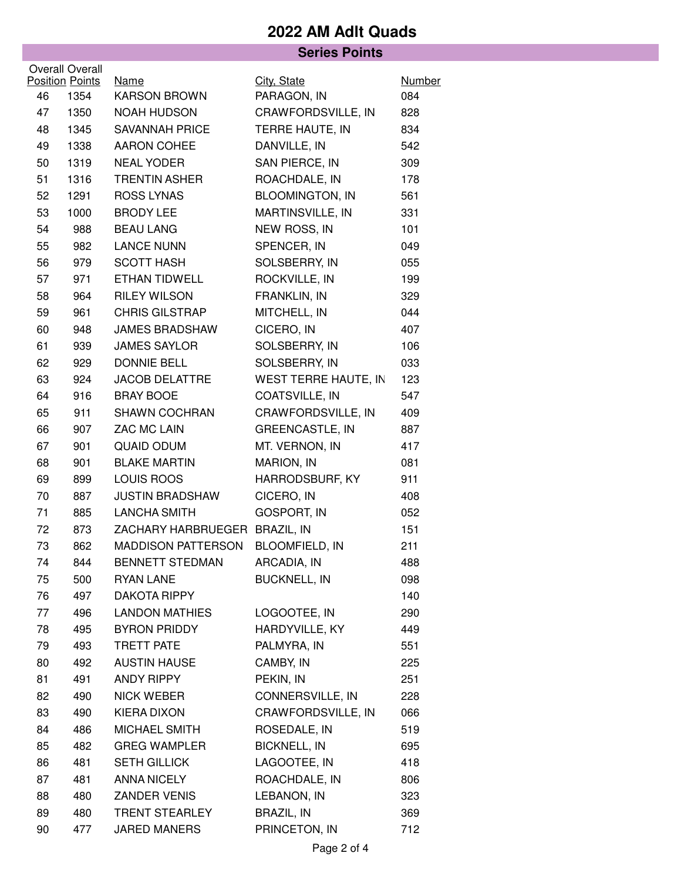#### **Series Points**

|    | Overall Overall        |                               |                        |               |
|----|------------------------|-------------------------------|------------------------|---------------|
|    | <b>Position Points</b> | <u>Name</u>                   | City, State            | <b>Number</b> |
| 46 | 1354                   | <b>KARSON BROWN</b>           | PARAGON, IN            | 084           |
| 47 | 1350                   | <b>NOAH HUDSON</b>            | CRAWFORDSVILLE, IN     | 828           |
| 48 | 1345                   | <b>SAVANNAH PRICE</b>         | TERRE HAUTE, IN        | 834           |
| 49 | 1338                   | <b>AARON COHEE</b>            | DANVILLE, IN           | 542           |
| 50 | 1319                   | <b>NEAL YODER</b>             | SAN PIERCE, IN         | 309           |
| 51 | 1316                   | <b>TRENTIN ASHER</b>          | ROACHDALE, IN          | 178           |
| 52 | 1291                   | <b>ROSS LYNAS</b>             | <b>BLOOMINGTON, IN</b> | 561           |
| 53 | 1000                   | <b>BRODY LEE</b>              | MARTINSVILLE, IN       | 331           |
| 54 | 988                    | <b>BEAU LANG</b>              | NEW ROSS, IN           | 101           |
| 55 | 982                    | <b>LANCE NUNN</b>             | SPENCER, IN            | 049           |
| 56 | 979                    | <b>SCOTT HASH</b>             | SOLSBERRY, IN          | 055           |
| 57 | 971                    | ETHAN TIDWELL                 | ROCKVILLE, IN          | 199           |
| 58 | 964                    | <b>RILEY WILSON</b>           | FRANKLIN, IN           | 329           |
| 59 | 961                    | <b>CHRIS GILSTRAP</b>         | MITCHELL, IN           | 044           |
| 60 | 948                    | <b>JAMES BRADSHAW</b>         | CICERO, IN             | 407           |
| 61 | 939                    | <b>JAMES SAYLOR</b>           | SOLSBERRY, IN          | 106           |
| 62 | 929                    | <b>DONNIE BELL</b>            | SOLSBERRY, IN          | 033           |
| 63 | 924                    | <b>JACOB DELATTRE</b>         | WEST TERRE HAUTE, IN   | 123           |
| 64 | 916                    | <b>BRAY BOOE</b>              | COATSVILLE, IN         | 547           |
| 65 | 911                    | <b>SHAWN COCHRAN</b>          | CRAWFORDSVILLE, IN     | 409           |
| 66 | 907                    | ZAC MC LAIN                   | <b>GREENCASTLE, IN</b> | 887           |
| 67 | 901                    | <b>QUAID ODUM</b>             | MT. VERNON, IN         | 417           |
| 68 | 901                    | <b>BLAKE MARTIN</b>           | MARION, IN             | 081           |
| 69 | 899                    | LOUIS ROOS                    | HARRODSBURF, KY        | 911           |
| 70 | 887                    | <b>JUSTIN BRADSHAW</b>        | CICERO, IN             | 408           |
| 71 | 885                    | <b>LANCHA SMITH</b>           | <b>GOSPORT, IN</b>     | 052           |
| 72 | 873                    | ZACHARY HARBRUEGER BRAZIL, IN |                        | 151           |
| 73 | 862                    | <b>MADDISON PATTERSON</b>     | <b>BLOOMFIELD, IN</b>  | 211           |
| 74 | 844                    | BENNETT STEDMAN               | ARCADIA, IN            | 488           |
| 75 | 500                    | <b>RYAN LANE</b>              | <b>BUCKNELL, IN</b>    | 098           |
| 76 | 497                    | <b>DAKOTA RIPPY</b>           |                        | 140           |
| 77 | 496                    | <b>LANDON MATHIES</b>         | LOGOOTEE, IN           | 290           |
| 78 | 495                    | BYRON PRIDDY                  | HARDYVILLE, KY         | 449           |
| 79 | 493                    | TRETT PATE                    | PALMYRA, IN            | 551           |
| 80 | 492                    | <b>AUSTIN HAUSE</b>           | CAMBY, IN              | 225           |
| 81 | 491                    | ANDY RIPPY                    | PEKIN, IN              | 251           |
| 82 | 490                    | NICK WEBER                    | CONNERSVILLE, IN       | 228           |
| 83 | 490                    | KIERA DIXON                   | CRAWFORDSVILLE, IN     | 066           |
| 84 | 486                    | MICHAEL SMITH                 | ROSEDALE, IN           | 519           |
| 85 | 482                    | <b>GREG WAMPLER</b>           | <b>BICKNELL, IN</b>    | 695           |
| 86 | 481                    | SETH GILLICK                  | LAGOOTEE, IN           | 418           |
| 87 | 481                    | <b>ANNA NICELY</b>            | ROACHDALE, IN          | 806           |
| 88 | 480                    | ZANDER VENIS                  | LEBANON, IN            | 323           |
| 89 | 480                    | TRENT STEARLEY                | <b>BRAZIL, IN</b>      | 369           |
| 90 | 477                    | <b>JARED MANERS</b>           | PRINCETON, IN          | 712           |
|    |                        |                               |                        |               |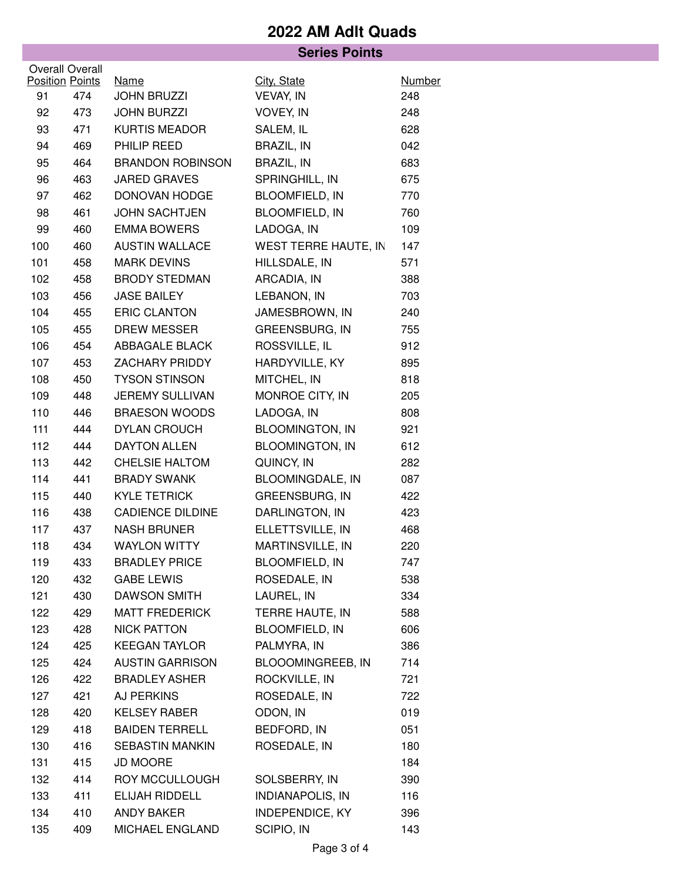|     |                        |                         | <b>Series Points</b>    |               |
|-----|------------------------|-------------------------|-------------------------|---------------|
|     | <b>Overall Overall</b> |                         |                         |               |
|     | <b>Position Points</b> | <b>Name</b>             | City, State             | <b>Number</b> |
| 91  | 474                    | <b>JOHN BRUZZI</b>      | VEVAY, IN               | 248           |
| 92  | 473                    | <b>JOHN BURZZI</b>      | VOVEY, IN               | 248           |
| 93  | 471                    | <b>KURTIS MEADOR</b>    | SALEM, IL               | 628           |
| 94  | 469                    | PHILIP REED             | <b>BRAZIL, IN</b>       | 042           |
| 95  | 464                    | <b>BRANDON ROBINSON</b> | <b>BRAZIL, IN</b>       | 683           |
| 96  | 463                    | <b>JARED GRAVES</b>     | SPRINGHILL, IN          | 675           |
| 97  | 462                    | DONOVAN HODGE           | <b>BLOOMFIELD, IN</b>   | 770           |
| 98  | 461                    | <b>JOHN SACHTJEN</b>    | <b>BLOOMFIELD, IN</b>   | 760           |
| 99  | 460                    | <b>EMMA BOWERS</b>      | LADOGA, IN              | 109           |
| 100 | 460                    | <b>AUSTIN WALLACE</b>   | WEST TERRE HAUTE, IN    | 147           |
| 101 | 458                    | <b>MARK DEVINS</b>      | HILLSDALE, IN           | 571           |
| 102 | 458                    | <b>BRODY STEDMAN</b>    | ARCADIA, IN             | 388           |
| 103 | 456                    | <b>JASE BAILEY</b>      | LEBANON, IN             | 703           |
| 104 | 455                    | <b>ERIC CLANTON</b>     | JAMESBROWN, IN          | 240           |
| 105 | 455                    | <b>DREW MESSER</b>      | <b>GREENSBURG, IN</b>   | 755           |
| 106 | 454                    | ABBAGALE BLACK          | ROSSVILLE, IL           | 912           |
| 107 | 453                    | <b>ZACHARY PRIDDY</b>   | HARDYVILLE, KY          | 895           |
| 108 | 450                    | <b>TYSON STINSON</b>    | MITCHEL, IN             | 818           |
| 109 | 448                    | <b>JEREMY SULLIVAN</b>  | MONROE CITY, IN         | 205           |
| 110 | 446                    | <b>BRAESON WOODS</b>    | LADOGA, IN              | 808           |
| 111 | 444                    | <b>DYLAN CROUCH</b>     | <b>BLOOMINGTON, IN</b>  | 921           |
| 112 | 444                    | <b>DAYTON ALLEN</b>     | <b>BLOOMINGTON, IN</b>  | 612           |
| 113 | 442                    | <b>CHELSIE HALTOM</b>   | QUINCY, IN              | 282           |
| 114 | 441                    | <b>BRADY SWANK</b>      | <b>BLOOMINGDALE, IN</b> | 087           |
| 115 | 440                    | <b>KYLE TETRICK</b>     | <b>GREENSBURG, IN</b>   | 422           |
| 116 | 438                    | <b>CADIENCE DILDINE</b> | DARLINGTON, IN          | 423           |
| 117 | 437                    | <b>NASH BRUNER</b>      | ELLETTSVILLE, IN        | 468           |
| 118 | 434                    | <b>WAYLON WITTY</b>     | MARTINSVILLE, IN        | 220           |
| 119 | 433                    | <b>BRADLEY PRICE</b>    | <b>BLOOMFIELD, IN</b>   | 747           |
| 120 | 432                    | <b>GABE LEWIS</b>       | ROSEDALE, IN            | 538           |
| 121 | 430                    | <b>DAWSON SMITH</b>     | LAUREL, IN              | 334           |
| 122 | 429                    | <b>MATT FREDERICK</b>   | TERRE HAUTE, IN         | 588           |
| 123 | 428                    | <b>NICK PATTON</b>      | <b>BLOOMFIELD, IN</b>   | 606           |
| 124 | 425                    | <b>KEEGAN TAYLOR</b>    | PALMYRA, IN             | 386           |
| 125 | 424                    | <b>AUSTIN GARRISON</b>  | BLOOOMINGREEB, IN       | 714           |
| 126 | 422                    | <b>BRADLEY ASHER</b>    | ROCKVILLE, IN           | 721           |
| 127 | 421                    | AJ PERKINS              | ROSEDALE, IN            | 722           |
| 128 | 420                    | <b>KELSEY RABER</b>     | ODON, IN                | 019           |
| 129 | 418                    | <b>BAIDEN TERRELL</b>   | BEDFORD, IN             | 051           |
| 130 | 416                    | <b>SEBASTIN MANKIN</b>  | ROSEDALE, IN            | 180           |
| 131 | 415                    | <b>JD MOORE</b>         |                         | 184           |
| 132 | 414                    | ROY MCCULLOUGH          | SOLSBERRY, IN           | 390           |
| 133 | 411                    | ELIJAH RIDDELL          | <b>INDIANAPOLIS, IN</b> | 116           |
| 134 | 410                    | <b>ANDY BAKER</b>       | <b>INDEPENDICE, KY</b>  | 396           |
| 135 | 409                    | MICHAEL ENGLAND         | SCIPIO, IN              | 143           |